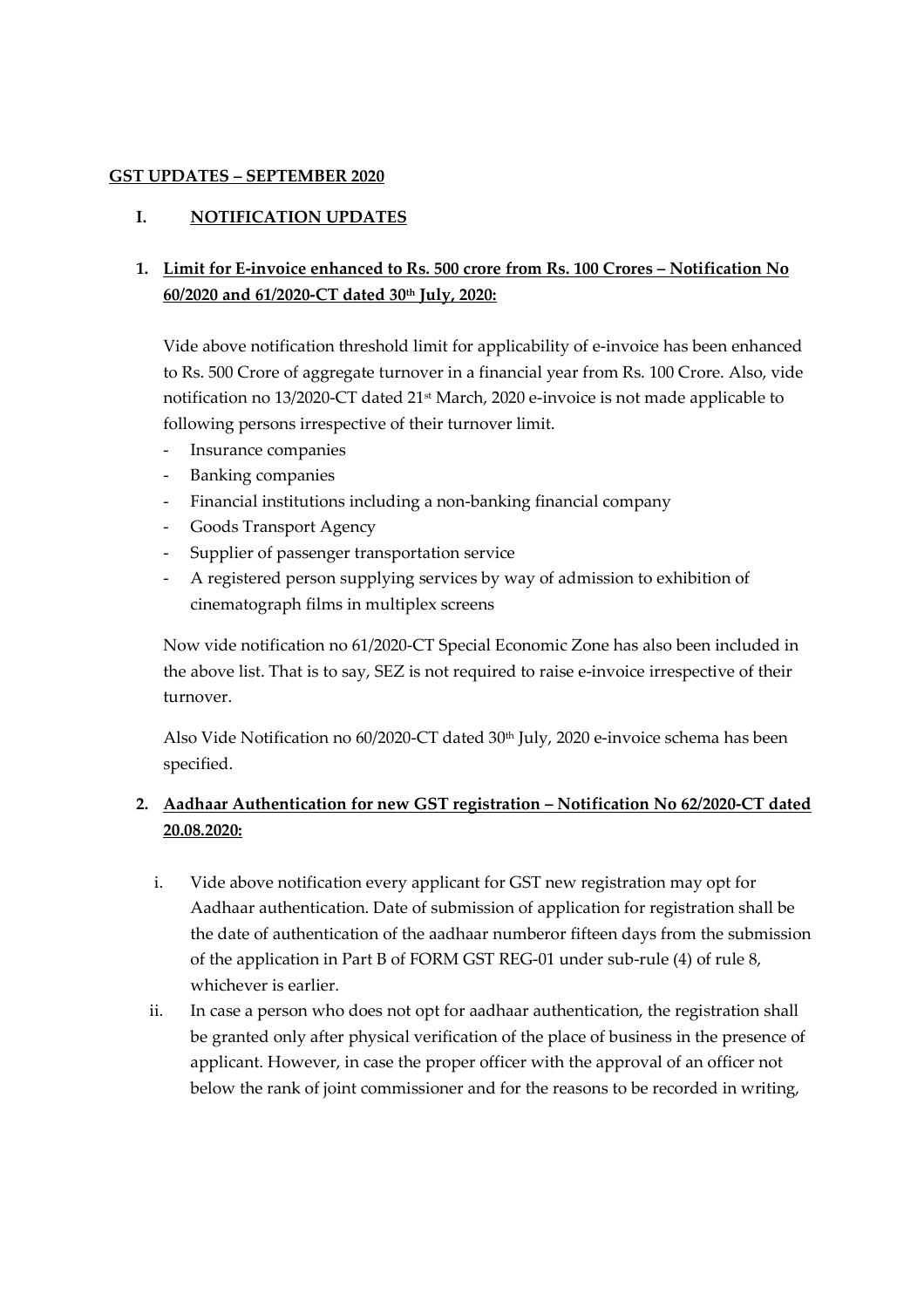### **GST UPDATES – SEPTEMBER 2020**

## **I. NOTIFICATION UPDATES**

# **1. Limit for E-invoice enhanced to Rs. 500 crore from Rs. 100 Crores – Notification No 60/2020 and 61/2020-CT dated 30th July, 2020:**

Vide above notification threshold limit for applicability of e-invoice has been enhanced to Rs. 500 Crore of aggregate turnover in a financial year from Rs. 100 Crore. Also, vide notification no 13/2020-CT dated 21st March, 2020 e-invoice is not made applicable to following persons irrespective of their turnover limit.

- Insurance companies
- Banking companies
- Financial institutions including a non-banking financial company
- Goods Transport Agency
- Supplier of passenger transportation service
- A registered person supplying services by way of admission to exhibition of cinematograph films in multiplex screens

Now vide notification no 61/2020-CT Special Economic Zone has also been included in the above list. That is to say, SEZ is not required to raise e-invoice irrespective of their turnover.

Also Vide Notification no 60/2020-CT dated 30<sup>th</sup> July, 2020 e-invoice schema has been specified.

## **2. Aadhaar Authentication for new GST registration – Notification No 62/2020-CT dated 20.08.2020:**

- i. Vide above notification every applicant for GST new registration may opt for Aadhaar authentication. Date of submission of application for registration shall be the date of authentication of the aadhaar numberor fifteen days from the submission of the application in Part B of FORM GST REG-01 under sub-rule (4) of rule 8, whichever is earlier.
- ii. In case a person who does not opt for aadhaar authentication, the registration shall be granted only after physical verification of the place of business in the presence of applicant. However, in case the proper officer with the approval of an officer not below the rank of joint commissioner and for the reasons to be recorded in writing,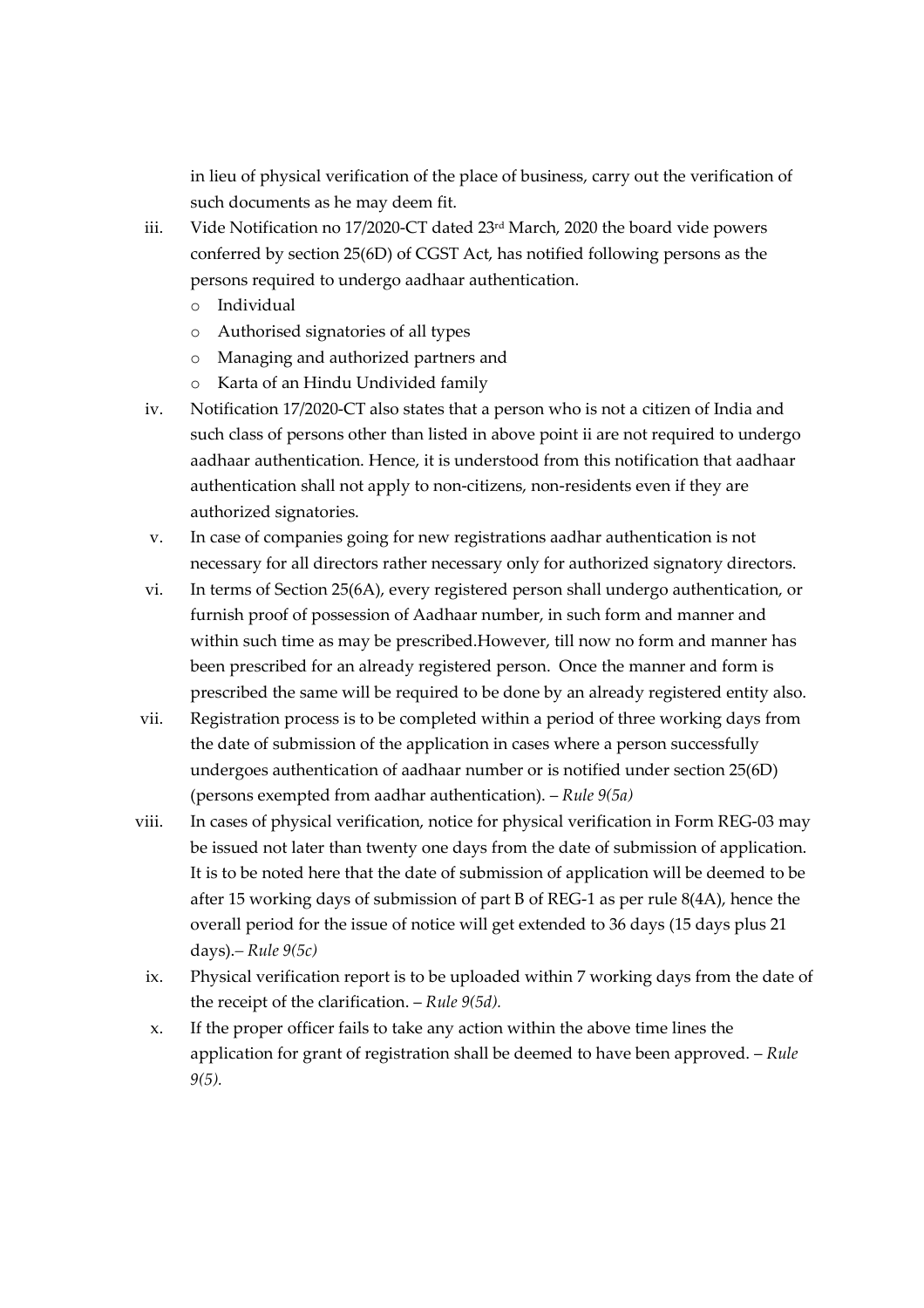in lieu of physical verification of the place of business, carry out the verification of such documents as he may deem fit.

- iii. Vide Notification no 17/2020-CT dated 23<sup>rd</sup> March, 2020 the board vide powers conferred by section 25(6D) of CGST Act, has notified following persons as the persons required to undergo aadhaar authentication.
	- o Individual
	- o Authorised signatories of all types
	- o Managing and authorized partners and
	- o Karta of an Hindu Undivided family
- iv. Notification 17/2020-CT also states that a person who is not a citizen of India and such class of persons other than listed in above point ii are not required to undergo aadhaar authentication. Hence, it is understood from this notification that aadhaar authentication shall not apply to non-citizens, non-residents even if they are authorized signatories.
- v. In case of companies going for new registrations aadhar authentication is not necessary for all directors rather necessary only for authorized signatory directors.
- vi. In terms of Section 25(6A), every registered person shall undergo authentication, or furnish proof of possession of Aadhaar number, in such form and manner and within such time as may be prescribed.However, till now no form and manner has been prescribed for an already registered person. Once the manner and form is prescribed the same will be required to be done by an already registered entity also.
- vii. Registration process is to be completed within a period of three working days from the date of submission of the application in cases where a person successfully undergoes authentication of aadhaar number or is notified under section 25(6D) (persons exempted from aadhar authentication). – *Rule 9(5a)*
- viii. In cases of physical verification, notice for physical verification in Form REG-03 may be issued not later than twenty one days from the date of submission of application. It is to be noted here that the date of submission of application will be deemed to be after 15 working days of submission of part B of REG-1 as per rule 8(4A), hence the overall period for the issue of notice will get extended to 36 days (15 days plus 21 days).*– Rule 9(5c)*
- ix. Physical verification report is to be uploaded within 7 working days from the date of the receipt of the clarification. – *Rule 9(5d).*
- x. If the proper officer fails to take any action within the above time lines the application for grant of registration shall be deemed to have been approved. – *Rule 9(5).*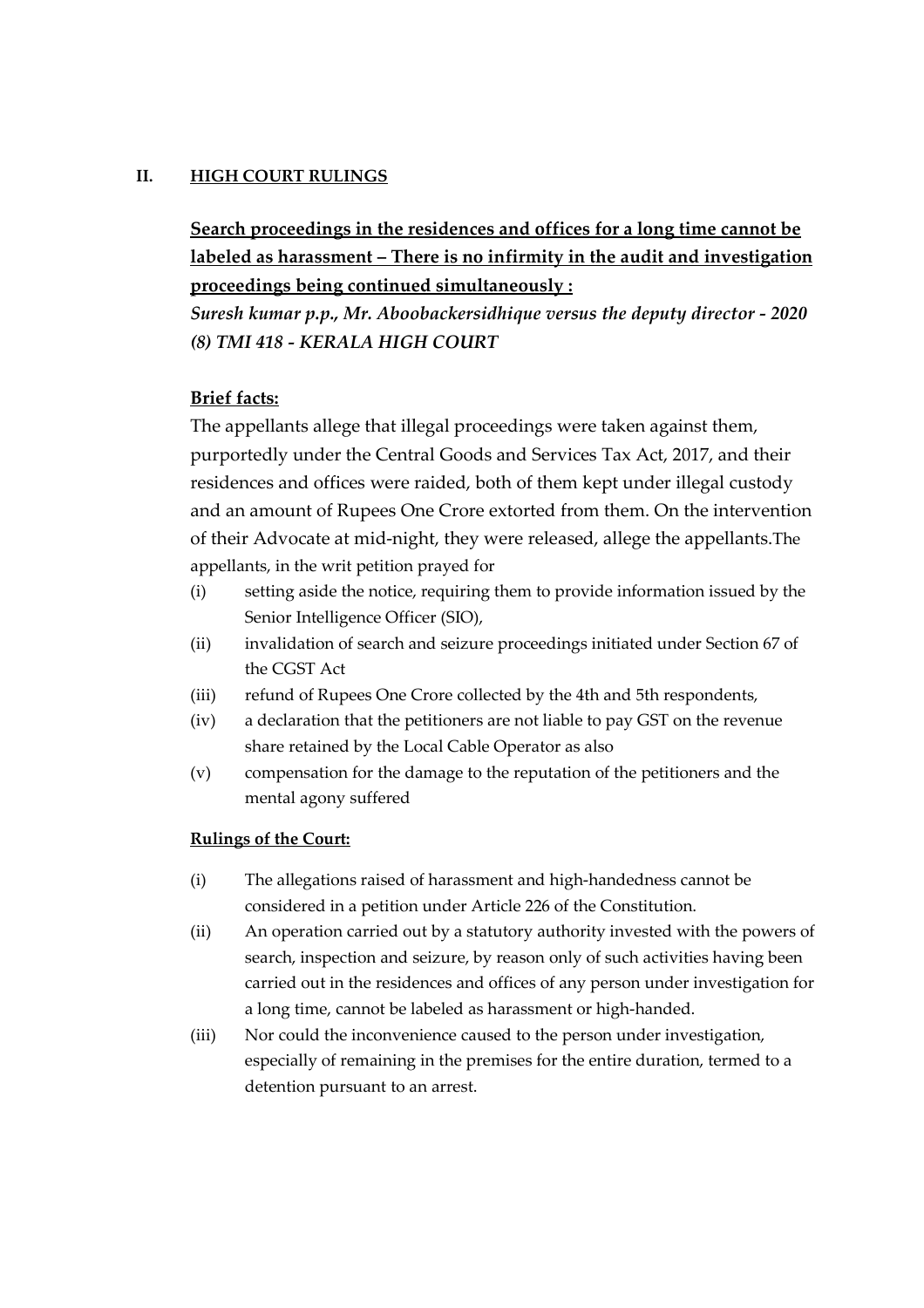## **II. HIGH COURT RULINGS**

**Search proceedings in the residences and offices for a long time cannot be labeled as harassment – There is no infirmity in the audit and investigation proceedings being continued simultaneously :**

*Suresh kumar p.p., Mr. Aboobackersidhique versus the deputy director - 2020 (8) TMI 418 - KERALA HIGH COURT* 

#### **Brief facts:**

The appellants allege that illegal proceedings were taken against them, purportedly under the Central Goods and Services Tax Act, 2017, and their residences and offices were raided, both of them kept under illegal custody and an amount of Rupees One Crore extorted from them. On the intervention of their Advocate at mid-night, they were released, allege the appellants.The appellants, in the writ petition prayed for

- (i) setting aside the notice, requiring them to provide information issued by the Senior Intelligence Officer (SIO),
- (ii) invalidation of search and seizure proceedings initiated under Section 67 of the CGST Act
- (iii) refund of Rupees One Crore collected by the 4th and 5th respondents,
- (iv) a declaration that the petitioners are not liable to pay GST on the revenue share retained by the Local Cable Operator as also
- (v) compensation for the damage to the reputation of the petitioners and the mental agony suffered

#### **Rulings of the Court:**

- (i) The allegations raised of harassment and high-handedness cannot be considered in a petition under Article 226 of the Constitution.
- (ii) An operation carried out by a statutory authority invested with the powers of search, inspection and seizure, by reason only of such activities having been carried out in the residences and offices of any person under investigation for a long time, cannot be labeled as harassment or high-handed.
- (iii) Nor could the inconvenience caused to the person under investigation, especially of remaining in the premises for the entire duration, termed to a detention pursuant to an arrest.